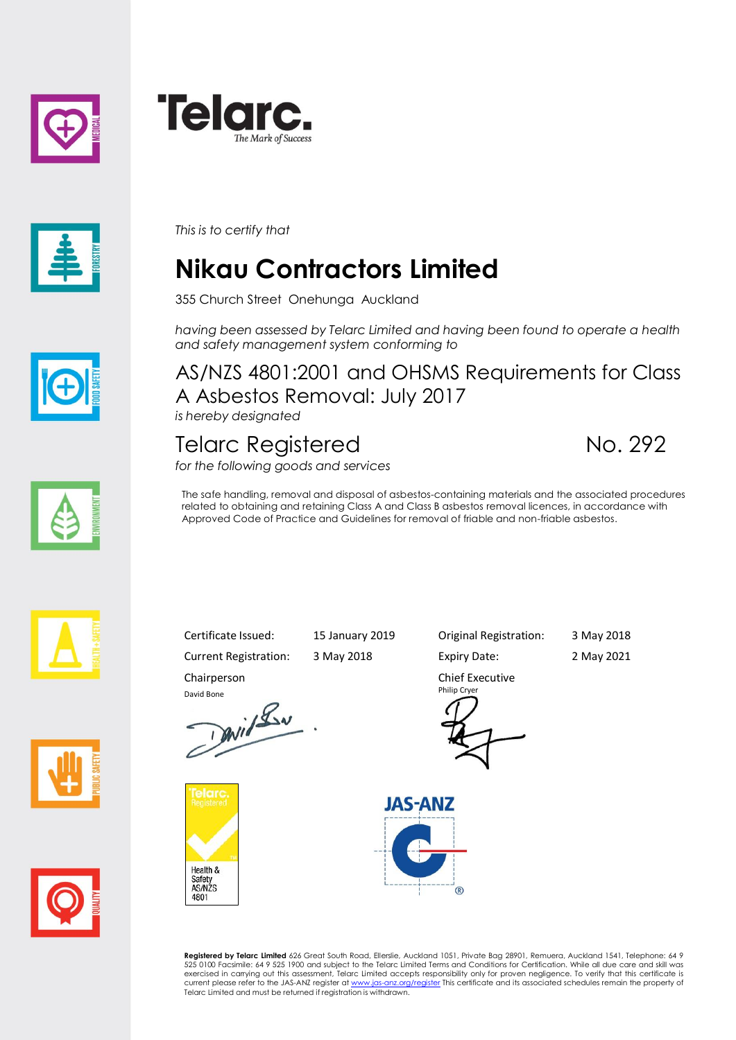





*This is to certify that*

## **Nikau Contractors Limited**

355 Church Street Onehunga Auckland

*having been assessed by Telarc Limited and having been found to operate a health and safety management system conforming to*



AS/NZS 4801:2001 and OHSMS Requirements for Class A Asbestos Removal: July 2017 *is hereby designated*

Telarc Registered No. 292

*for the following goods and services*

The safe handling, removal and disposal of asbestos-containing materials and the associated procedures related to obtaining and retaining Class A and Class B asbestos removal licences, in accordance with Approved Code of Practice and Guidelines for removal of friable and non-friable asbestos.







Chairperson

David Bone<br>David Lav



Current Registration: 3 May 2018 Expiry Date: 2 May 2021

Certificate Issued: 15 January 2019 Original Registration: 3 May 2018

Chief Executive Philip Cryer



**Registered by Telarc Limited** 626 Great South Road, Ellerslie, Auckland 1051, Private Bag 28901, Remuera, Auckland 1541, Telephone: 64 9<br>525 0100 Facsimile: 64 9 525 1900 and subject to the Telarc Limited Terms and Condit